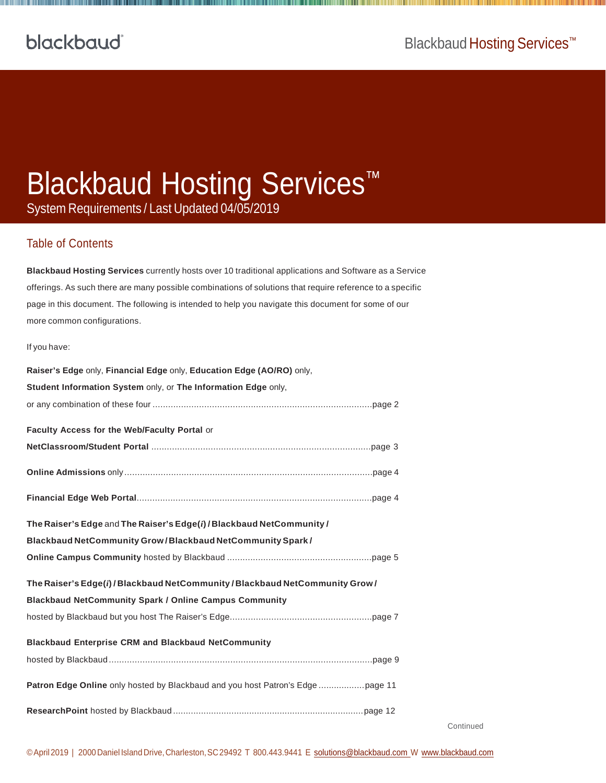# Blackbaud Hosting Services™

System Requirements / Last Updated 04/05/2019

#### Table of Contents

**Blackbaud Hosting Services** currently hosts over 10 traditional applications and Software as a Service offerings. As such there are many possible combinations of solutions that require reference to a specific page in this document. The following is intended to help you navigate this document for some of our more common configurations.

#### If you have:

| Raiser's Edge only, Financial Edge only, Education Edge (AO/RO) only,         |
|-------------------------------------------------------------------------------|
| Student Information System only, or The Information Edge only,                |
|                                                                               |
| Faculty Access for the Web/Faculty Portal or                                  |
|                                                                               |
|                                                                               |
|                                                                               |
| The Raiser's Edge and The Raiser's Edge(i) / Blackbaud NetCommunity /         |
| Blackbaud NetCommunity Grow/Blackbaud NetCommunity Spark/                     |
|                                                                               |
| The Raiser's Edge(i) / Blackbaud NetCommunity / Blackbaud NetCommunity Grow / |
| <b>Blackbaud NetCommunity Spark / Online Campus Community</b>                 |
|                                                                               |
| <b>Blackbaud Enterprise CRM and Blackbaud NetCommunity</b>                    |
|                                                                               |
|                                                                               |
|                                                                               |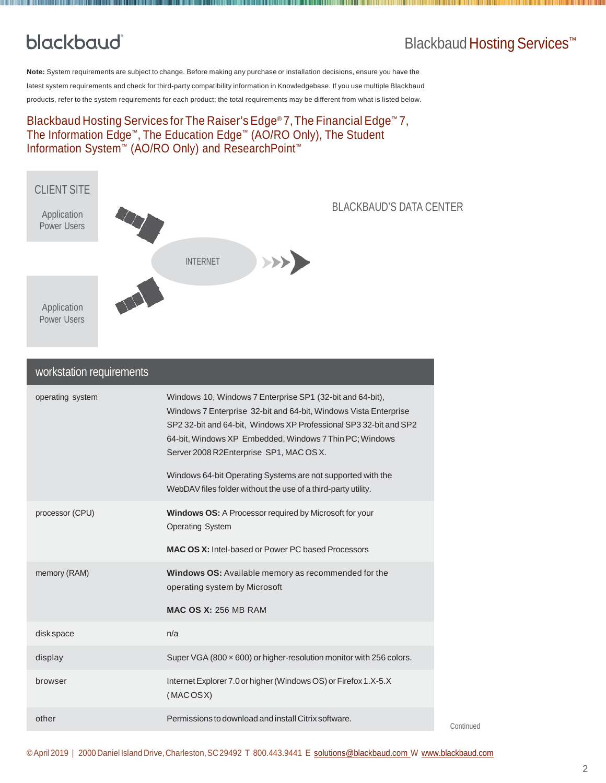### Blackbaud Hosting Services<sup>™</sup>

**Note:** System requirements are subject to change. Before making any purchase or installation decisions, ensure you have the latest system requirements and check for third-party compatibility information in Knowledgebase. If you use multiple Blackbaud products, refer to the system requirements for each product; the total requirements may be different from what is listed below.

#### Blackbaud Hosting Services for The Raiser's Edge® 7,The Financial Edge™ 7, The Information Edge™, The Education Edge™ (AO/RO Only), The Student Information System™ (AO/RO Only) and ResearchPoint™



| workstation requirements |                                                                                                                                                                                                                                                                                                                                                                                                                                          |
|--------------------------|------------------------------------------------------------------------------------------------------------------------------------------------------------------------------------------------------------------------------------------------------------------------------------------------------------------------------------------------------------------------------------------------------------------------------------------|
| operating system         | Windows 10, Windows 7 Enterprise SP1 (32-bit and 64-bit),<br>Windows 7 Enterprise 32-bit and 64-bit, Windows Vista Enterprise<br>SP2 32-bit and 64-bit, Windows XP Professional SP3 32-bit and SP2<br>64-bit, Windows XP Embedded, Windows 7 Thin PC; Windows<br>Server 2008 R2Enterprise SP1, MAC OS X.<br>Windows 64-bit Operating Systems are not supported with the<br>WebDAV files folder without the use of a third-party utility. |
| processor (CPU)          | Windows OS: A Processor required by Microsoft for your<br><b>Operating System</b>                                                                                                                                                                                                                                                                                                                                                        |
|                          | <b>MAC OS X:</b> Intel-based or Power PC based Processors                                                                                                                                                                                                                                                                                                                                                                                |
| memory (RAM)             | Windows OS: Available memory as recommended for the<br>operating system by Microsoft                                                                                                                                                                                                                                                                                                                                                     |
|                          | <b>MAC OS X: 256 MB RAM</b>                                                                                                                                                                                                                                                                                                                                                                                                              |
| disk space               | n/a                                                                                                                                                                                                                                                                                                                                                                                                                                      |
| display                  | Super VGA (800 x 600) or higher-resolution monitor with 256 colors.                                                                                                                                                                                                                                                                                                                                                                      |
| browser                  | Internet Explorer 7.0 or higher (Windows OS) or Firefox 1.X-5.X<br>(MACOSX)                                                                                                                                                                                                                                                                                                                                                              |
| other                    | Permissions to download and install Citrix software.                                                                                                                                                                                                                                                                                                                                                                                     |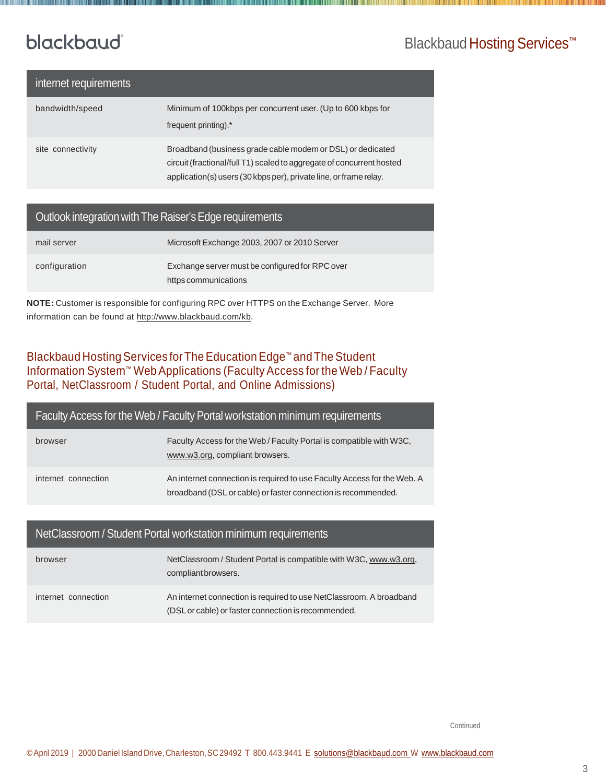### Blackbaud Hosting Services<sup>™</sup>

## blackbaud®

| internet requirements |                                                                                                                                                                                                          |
|-----------------------|----------------------------------------------------------------------------------------------------------------------------------------------------------------------------------------------------------|
| bandwidth/speed       | Minimum of 100kbps per concurrent user. (Up to 600 kbps for<br>frequent printing).*                                                                                                                      |
| site connectivity     | Broadband (business grade cable modem or DSL) or dedicated<br>circuit (fractional/full T1) scaled to aggregate of concurrent hosted<br>application(s) users (30 kbps per), private line, or frame relay. |

#### Outlook integration with The Raiser's Edge requirements

| mail server   | Microsoft Exchange 2003, 2007 or 2010 Server                            |
|---------------|-------------------------------------------------------------------------|
| configuration | Exchange server must be configured for RPC over<br>https communications |

**NOTE:** Customer is responsible for configuring RPC over HTTPS on the Exchange Server. More information can be found at [http://www.blackbaud.com/kb.](http://www.blackbaud.com/kb)

#### Blackbaud Hosting Services for The Education Edge™ and The Student Information System™ WebApplications (Faculty Access for the Web / Faculty Portal, NetClassroom / Student Portal, and Online Admissions)

| Faculty Access for the Web / Faculty Portal workstation minimum requirements |                                                                                                                                          |
|------------------------------------------------------------------------------|------------------------------------------------------------------------------------------------------------------------------------------|
| browser                                                                      | Faculty Access for the Web / Faculty Portal is compatible with W3C,<br>www.w3.org, compliant browsers.                                   |
| internet connection                                                          | An internet connection is required to use Faculty Access for the Web. A<br>broadband (DSL or cable) or faster connection is recommended. |

#### NetClassroom / Student Portal workstation minimum requirements

| browser             | NetClassroom / Student Portal is compatible with W3C, www.w3.org,<br>compliant browsers.                                   |
|---------------------|----------------------------------------------------------------------------------------------------------------------------|
| internet connection | An internet connection is required to use NetClassroom. A broadband<br>(DSL or cable) or faster connection is recommended. |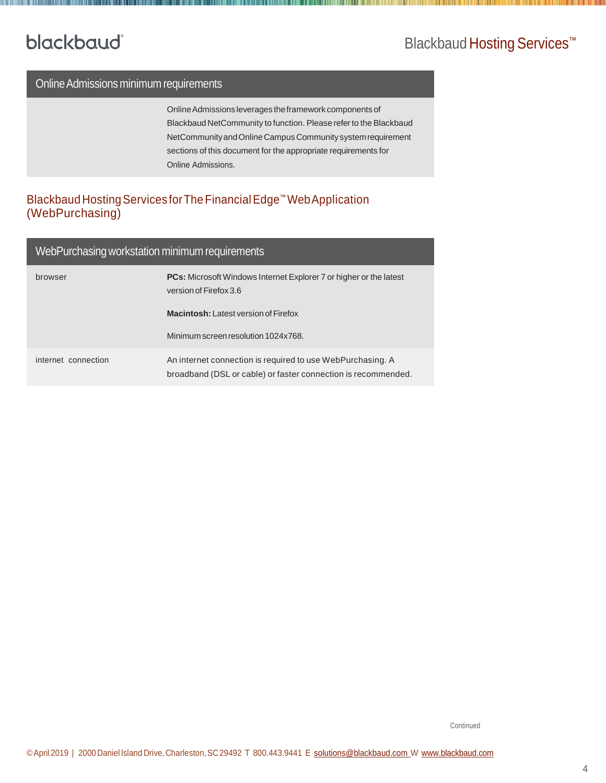### Blackbaud Hosting Services<sup>™</sup>

#### Online Admissions minimum requirements

Online Admissions leverages the framework components of Blackbaud NetCommunity to function. Please refer to the Blackbaud NetCommunityandOnlineCampusCommunitysystemrequirement sections of this document for the appropriate requirements for Online Admissions.

#### Blackbaud Hosting Services for The Financial Edge™ Web Application (WebPurchasing)

#### WebPurchasing workstation minimum requirements

| browser             | <b>PCs:</b> Microsoft Windows Internet Explorer 7 or higher or the latest<br>version of Firefox 3.6                         |
|---------------------|-----------------------------------------------------------------------------------------------------------------------------|
|                     | <b>Macintosh:</b> Latest version of Firefox                                                                                 |
|                     | Minimum screen resolution 1024x768.                                                                                         |
| internet connection | An internet connection is required to use WebPurchasing. A<br>broadband (DSL or cable) or faster connection is recommended. |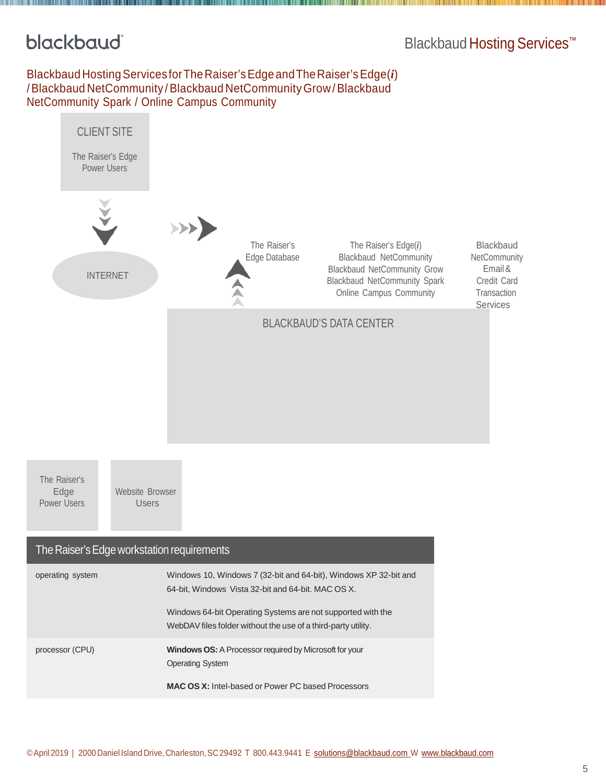### Blackbaud Hosting Services<sup>™</sup>

#### Blackbaud HostingServices forTheRaiser'sEdgeandTheRaiser'sEdge(*i*) /Blackbaud NetCommunity /Blackbaud NetCommunityGrow/Blackbaud NetCommunity Spark / Online Campus Community

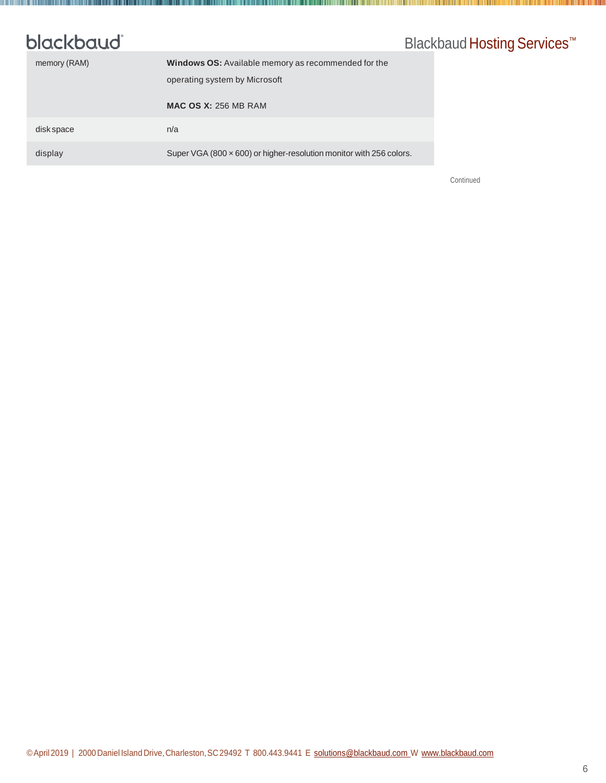## Blackbaud Hosting Services<sup>™</sup>

**The Common Section** 

| memory (RAM) | <b>Windows OS:</b> Available memory as recommended for the                 |
|--------------|----------------------------------------------------------------------------|
|              | operating system by Microsoft                                              |
|              | <b>MAC OS X: 256 MB RAM</b>                                                |
| disk space   | n/a                                                                        |
| display      | Super VGA (800 $\times$ 600) or higher-resolution monitor with 256 colors. |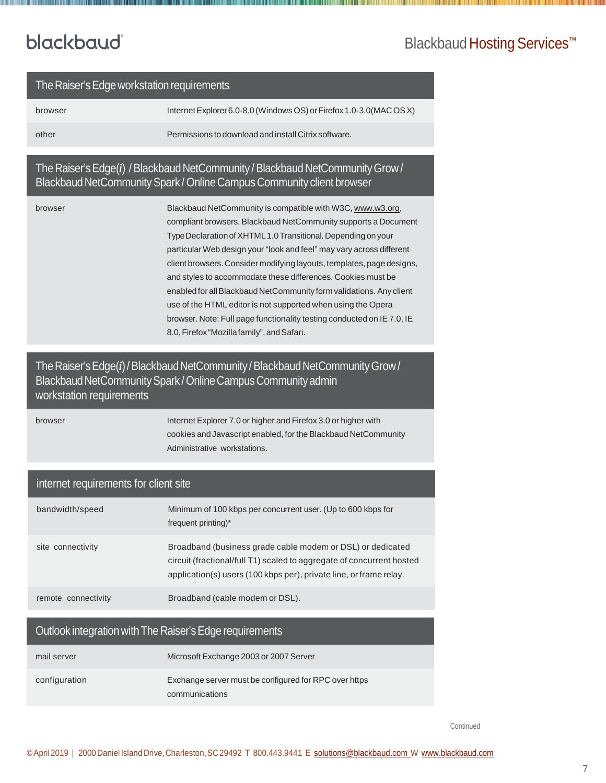<u> 1989 - Andrea Stadt Britain, amerikan bisanti dan pemberangan bagi dan bisanti dan bisanti dan bisanti dan bi</u>

## Blackbaud Hosting Services<sup>™</sup>

| The Raiser's Edge workstation requirements                                                                                                                                |                                                                                                                                                                                                                                                                                                                                                                                                                                                                                                                                                                                                                                                                               |  |
|---------------------------------------------------------------------------------------------------------------------------------------------------------------------------|-------------------------------------------------------------------------------------------------------------------------------------------------------------------------------------------------------------------------------------------------------------------------------------------------------------------------------------------------------------------------------------------------------------------------------------------------------------------------------------------------------------------------------------------------------------------------------------------------------------------------------------------------------------------------------|--|
| browser                                                                                                                                                                   | Internet Explorer 6.0-8.0 (Windows OS) or Firefox 1.0-3.0 (MAC OS X)                                                                                                                                                                                                                                                                                                                                                                                                                                                                                                                                                                                                          |  |
| other                                                                                                                                                                     | Permissions to download and install Citrix software.                                                                                                                                                                                                                                                                                                                                                                                                                                                                                                                                                                                                                          |  |
| The Raiser's Edge(i) / Blackbaud NetCommunity / Blackbaud NetCommunity Grow /<br>Blackbaud NetCommunity Spark / Online Campus Community client browser                    |                                                                                                                                                                                                                                                                                                                                                                                                                                                                                                                                                                                                                                                                               |  |
| browser                                                                                                                                                                   | Blackbaud NetCommunity is compatible with W3C, www.w3.org,<br>compliant browsers. Blackbaud NetCommunity supports a Document<br>Type Declaration of XHTML 1.0 Transitional. Depending on your<br>particular Web design your "look and feel" may vary across different<br>client browsers. Consider modifying layouts, templates, page designs,<br>and styles to accommodate these differences. Cookies must be<br>enabled for all Blackbaud NetCommunity form validations. Any client<br>use of the HTML editor is not supported when using the Opera<br>browser. Note: Full page functionality testing conducted on IE 7.0, IE<br>8.0, Firefox "Mozilla family", and Safari. |  |
| The Raiser's Edge(i) / Blackbaud NetCommunity / Blackbaud NetCommunity Grow /<br>Blackbaud NetCommunity Spark / Online Campus Community admin<br>workstation requirements |                                                                                                                                                                                                                                                                                                                                                                                                                                                                                                                                                                                                                                                                               |  |
| browser                                                                                                                                                                   | Internet Explorer 7.0 or higher and Firefox 3.0 or higher with<br>cookies and Javascript enabled, for the Blackbaud NetCommunity<br>Administrative workstations.                                                                                                                                                                                                                                                                                                                                                                                                                                                                                                              |  |
| internet requirements for client site                                                                                                                                     |                                                                                                                                                                                                                                                                                                                                                                                                                                                                                                                                                                                                                                                                               |  |
| bandwidth/speed                                                                                                                                                           | Minimum of 100 kbps per concurrent user. (Up to 600 kbps for<br>frequent printing)*                                                                                                                                                                                                                                                                                                                                                                                                                                                                                                                                                                                           |  |
| site connectivity                                                                                                                                                         | Broadband (business grade cable modem or DSL) or dedicated<br>circuit (fractional/full T1) scaled to aggregate of concurrent hosted<br>application(s) users (100 kbps per), private line, or frame relay.                                                                                                                                                                                                                                                                                                                                                                                                                                                                     |  |
| remote connectivity                                                                                                                                                       | Broadband (cable modem or DSL).                                                                                                                                                                                                                                                                                                                                                                                                                                                                                                                                                                                                                                               |  |
| Outlook integration with The Raiser's Edge requirements                                                                                                                   |                                                                                                                                                                                                                                                                                                                                                                                                                                                                                                                                                                                                                                                                               |  |
| mail server                                                                                                                                                               | Microsoft Exchange 2003 or 2007 Server                                                                                                                                                                                                                                                                                                                                                                                                                                                                                                                                                                                                                                        |  |
| configuration                                                                                                                                                             | Exchange server must be configured for RPC over https<br>communications                                                                                                                                                                                                                                                                                                                                                                                                                                                                                                                                                                                                       |  |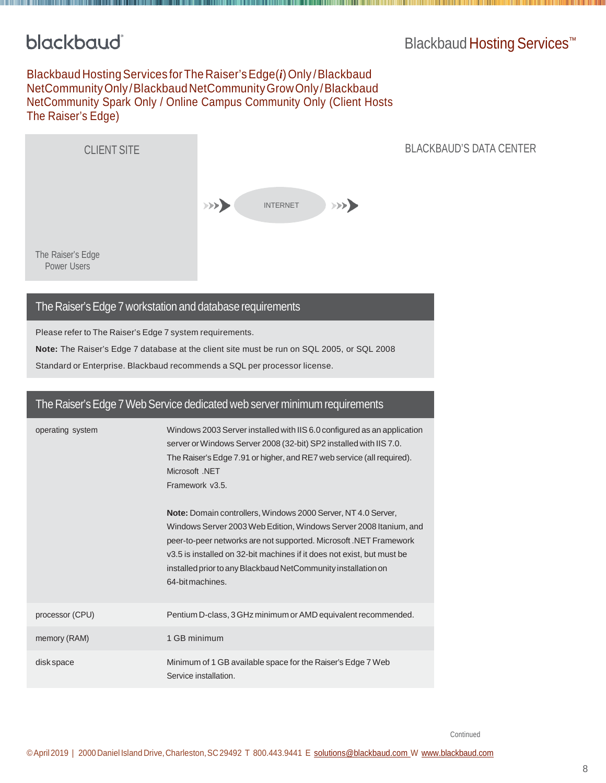### Blackbaud Hosting Services<sup>™</sup>

#### Blackbaud HostingServices forThe Raiser'sEdge(*i*)Only /Blackbaud NetCommunityOnly/BlackbaudNetCommunityGrowOnly/Blackbaud NetCommunity Spark Only / Online Campus Community Only (Client Hosts The Raiser's Edge)



#### The Raiser'sEdge 7 workstation and database requirements

Please refer to The Raiser's Edge 7 system requirements.

**Note:** The Raiser's Edge 7 database at the client site must be run on SQL 2005, or SQL 2008

Standard or Enterprise. Blackbaud recommends a SQL per processor license.

| The Raiser's Edge 7 Web Service dedicated web server minimum requirements |                                                                                                                                                                                                                                                                                                                                                                        |
|---------------------------------------------------------------------------|------------------------------------------------------------------------------------------------------------------------------------------------------------------------------------------------------------------------------------------------------------------------------------------------------------------------------------------------------------------------|
| operating system                                                          | Windows 2003 Server installed with IIS 6.0 configured as an application<br>server or Windows Server 2008 (32-bit) SP2 installed with IIS 7.0.<br>The Raiser's Edge 7.91 or higher, and RE7 web service (all required).<br>Microsoft .NET<br>Framework v3.5.                                                                                                            |
|                                                                           | Note: Domain controllers, Windows 2000 Server, NT 4.0 Server,<br>Windows Server 2003 Web Edition, Windows Server 2008 Itanium, and<br>peer-to-peer networks are not supported. Microsoft .NET Framework<br>v3.5 is installed on 32-bit machines if it does not exist, but must be<br>installed prior to any Blackbaud NetCommunity installation on<br>64-bit machines. |
| processor (CPU)                                                           | Pentium D-class, 3 GHz minimum or AMD equivalent recommended.                                                                                                                                                                                                                                                                                                          |
| memory (RAM)                                                              | 1 GB minimum                                                                                                                                                                                                                                                                                                                                                           |
| disk space                                                                | Minimum of 1 GB available space for the Raiser's Edge 7 Web<br>Service installation.                                                                                                                                                                                                                                                                                   |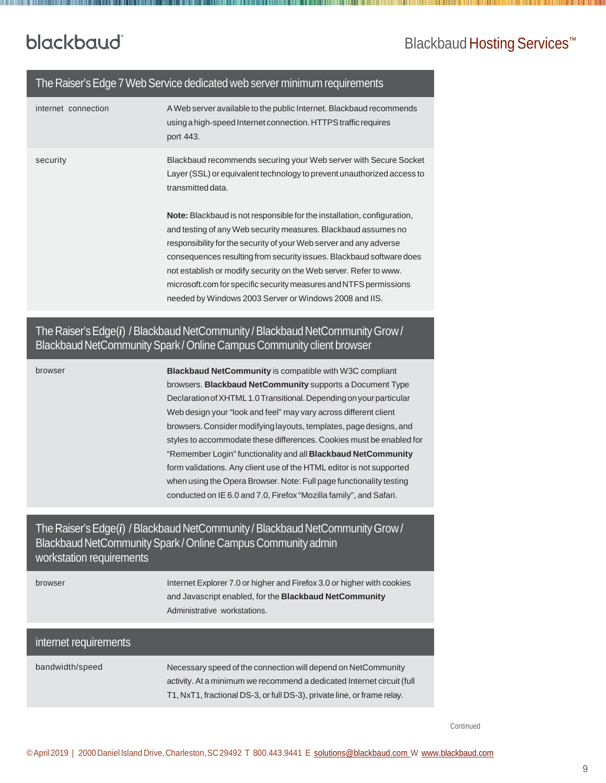### Blackbaud Hosting Services<sup>™</sup>

#### The Raiser's Edge 7 Web Service dedicated web server minimum requirements

| internet connection | A Web server available to the public Internet. Blackbaud recommends<br>using a high-speed Internet connection. HTTPS traffic requires<br>port 443.                                                                                                                                                                                                                                                                                                                                                 |
|---------------------|----------------------------------------------------------------------------------------------------------------------------------------------------------------------------------------------------------------------------------------------------------------------------------------------------------------------------------------------------------------------------------------------------------------------------------------------------------------------------------------------------|
| security            | Blackbaud recommends securing your Web server with Secure Socket<br>Layer (SSL) or equivalent technology to prevent unauthorized access to<br>transmitted data.                                                                                                                                                                                                                                                                                                                                    |
|                     | <b>Note:</b> Blackbaud is not responsible for the installation, configuration,<br>and testing of any Web security measures. Blackbaud assumes no<br>responsibility for the security of your Web server and any adverse<br>consequences resulting from security issues. Blackbaud software does<br>not establish or modify security on the Web server. Refer to www.<br>microsoft.com for specific security measures and NTFS permissions<br>needed by Windows 2003 Server or Windows 2008 and IIS. |

#### The Raiser's Edge(*i*) / Blackbaud NetCommunity / Blackbaud NetCommunity Grow / Blackbaud NetCommunity Spark / Online Campus Community client browser

browser **Blackbaud NetCommunity** is compatible with [W3C](http://www.w3.org/) compliant browsers. **Blackbaud NetCommunity** supports a Document Type Declaration of XHTML 1.0 Transitional. Depending on your particular Web design your "look and feel" may vary across different client browsers.Consider modifyinglayouts, templates, pagedesigns, and styles to accommodate these differences. Cookies must be enabled for "Remember Login" functionality and all **Blackbaud NetCommunity**  form validations. Any client use of the HTML editor is not supported when using the Opera Browser. Note: Full page functionality testing conducted on IE 6.0 and 7.0, Firefox "Mozilla family", and Safari.

#### The Raiser's Edge(*i*) / Blackbaud NetCommunity / Blackbaud NetCommunity Grow / Blackbaud NetCommunity Spark / Online Campus Community admin workstation requirements

| browser               | Internet Explorer 7.0 or higher and Firefox 3.0 or higher with cookies<br>and Javascript enabled, for the <b>Blackbaud NetCommunity</b><br>Administrative workstations.                                            |
|-----------------------|--------------------------------------------------------------------------------------------------------------------------------------------------------------------------------------------------------------------|
| internet requirements |                                                                                                                                                                                                                    |
| bandwidth/speed       | Necessary speed of the connection will depend on NetCommunity<br>activity. At a minimum we recommend a dedicated Internet circuit (full<br>T1, NxT1, fractional DS-3, or full DS-3), private line, or frame relay. |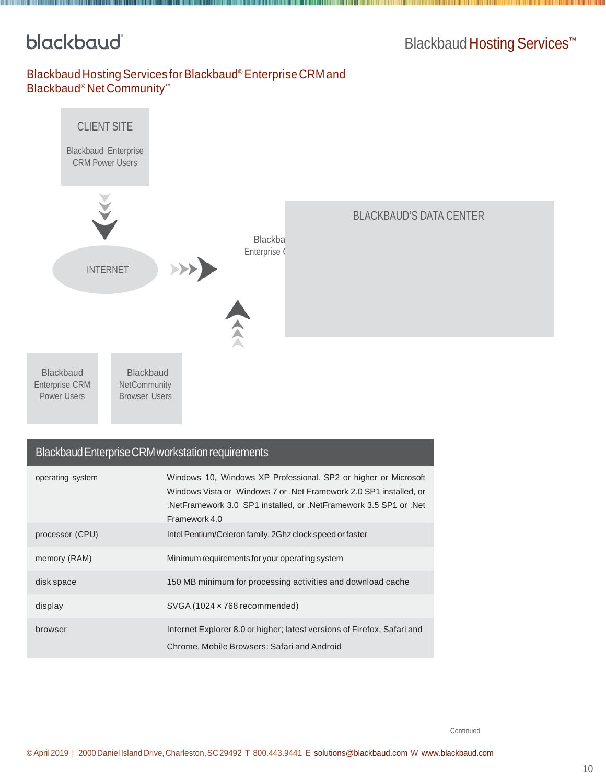### Blackbaud Hosting Services<sup>™</sup>

#### Blackbaud Hosting Services for Blackbaud® Enterprise CRM and Blackbaud® Net Community™



#### Blackbaud Enterprise CRM workstation requirements

| operating system | Windows 10, Windows XP Professional. SP2 or higher or Microsoft<br>Windows Vista or Windows 7 or . Net Framework 2.0 SP1 installed, or<br>NetFramework 3.0 SP1 installed, or .NetFramework 3.5 SP1 or .Net<br>Framework 4.0 |
|------------------|-----------------------------------------------------------------------------------------------------------------------------------------------------------------------------------------------------------------------------|
| processor (CPU)  | Intel Pentium/Celeron family, 2Ghz clock speed or faster                                                                                                                                                                    |
| memory (RAM)     | Minimum requirements for your operating system                                                                                                                                                                              |
| disk space       | 150 MB minimum for processing activities and download cache                                                                                                                                                                 |
| display          | $SVGA(1024 \times 768$ recommended)                                                                                                                                                                                         |
| browser          | Internet Explorer 8.0 or higher; latest versions of Firefox, Safari and<br>Chrome, Mobile Browsers: Safari and Android                                                                                                      |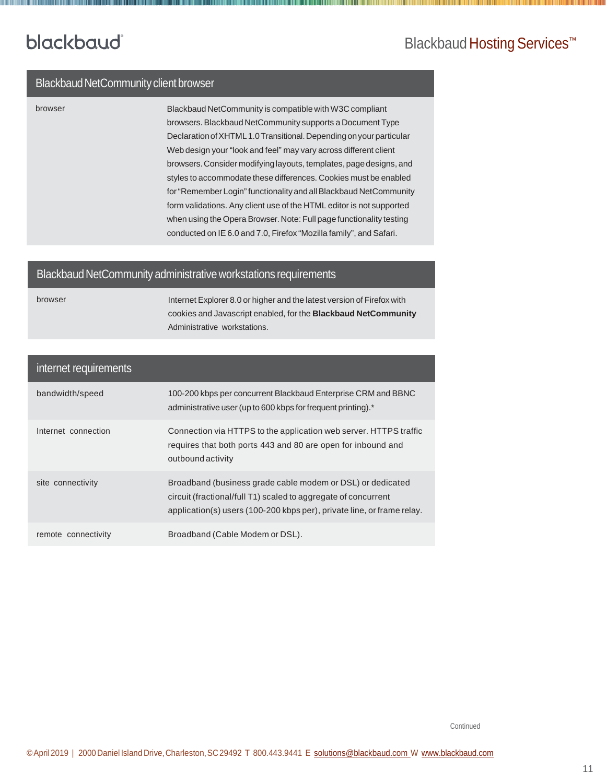### Blackbaud Hosting Services<sup>™</sup>

#### Blackbaud NetCommunity client browser

browser Blackbaud NetCommunity is compatible wit[hW3C](http://www.w3.org/) compliant browsers.Blackbaud NetCommunity supports a Document Type Declaration of XHTML1.0 Transitional. Depending on your particular Web design your "look and feel" may vary across different client browsers.Consider modifyinglayouts, templates, pagedesigns, and styles to accommodate these differences. Cookies must be enabled for "Remember Login" functionality and all Blackbaud NetCommunity form validations. Any client use of the HTML editor is not supported when using the Opera Browser. Note: Full page functionality testing conducted on IE 6.0 and 7.0, Firefox "Mozilla family", and Safari.

#### Blackbaud NetCommunity administrative workstations requirements

browser Internet Explorer 8.0 or higher and the latest version of Firefox with cookies and Javascript enabled, for the **Blackbaud NetCommunity** Administrative workstations.

#### internet requirements

| bandwidth/speed     | 100-200 kbps per concurrent Blackbaud Enterprise CRM and BBNC<br>administrative user (up to 600 kbps for frequent printing).*                                                                          |
|---------------------|--------------------------------------------------------------------------------------------------------------------------------------------------------------------------------------------------------|
| Internet connection | Connection via HTTPS to the application web server. HTTPS traffic<br>requires that both ports 443 and 80 are open for inbound and<br>outbound activity                                                 |
| site connectivity   | Broadband (business grade cable modem or DSL) or dedicated<br>circuit (fractional/full T1) scaled to aggregate of concurrent<br>application(s) users (100-200 kbps per), private line, or frame relay. |
| remote connectivity | Broadband (Cable Modem or DSL).                                                                                                                                                                        |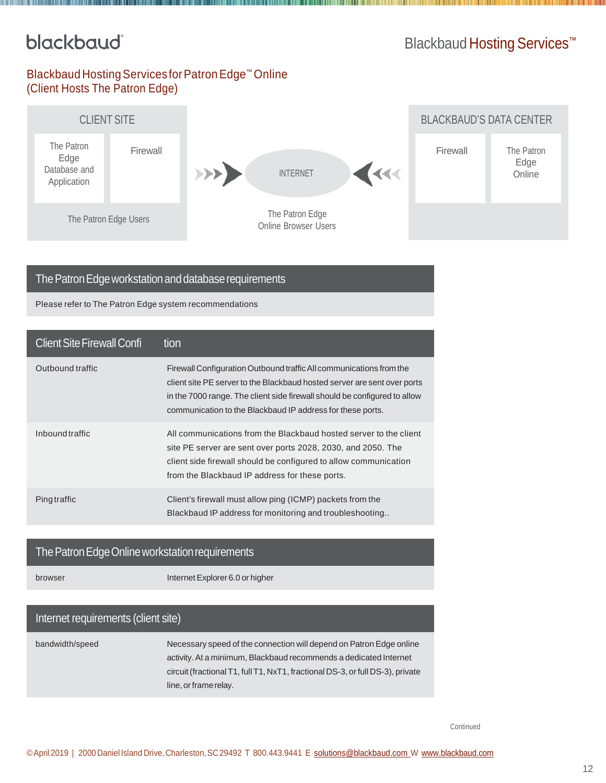### Blackbaud Hosting Services<sup>™</sup>

#### Blackbaud Hosting Services for Patron Edge™ Online (Client Hosts The Patron Edge)



#### The Patron Edge workstation and database requirements

Please refer to The Patron Edge system recommendations

| <b>Client Site Firewall Confi</b> | tion                                                                                                                                                                                                                                                                                       |
|-----------------------------------|--------------------------------------------------------------------------------------------------------------------------------------------------------------------------------------------------------------------------------------------------------------------------------------------|
| Outbound traffic                  | Firewall Configuration Outbound traffic All communications from the<br>client site PE server to the Blackbaud hosted server are sent over ports<br>in the 7000 range. The client side firewall should be configured to allow<br>communication to the Blackbaud IP address for these ports. |
| Inbound traffic                   | All communications from the Blackbaud hosted server to the client<br>site PE server are sent over ports 2028, 2030, and 2050. The<br>client side firewall should be configured to allow communication<br>from the Blackbaud IP address for these ports.                                    |
| <b>Ping traffic</b>               | Client's firewall must allow ping (ICMP) packets from the<br>Blackbaud IP address for monitoring and troubleshooting                                                                                                                                                                       |

#### The Patron Edge Online workstation requirements

browser Internet Explorer 6.0 or higher

#### Internet requirements (client site)

bandwidth/speed Necessary speed of the connection will depend on Patron Edge online activity.At a minimum, Blackbaud recommends a dedicated Internet circuit(fractional T1, full T1, NxT1, fractional DS-3, orfull DS-3), private line, or frame relay.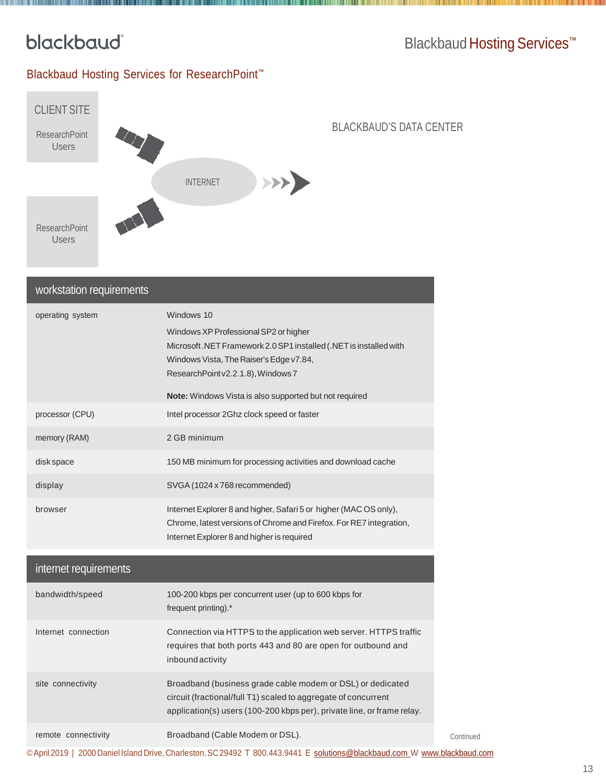<u> Liberal Maria III și pro</u>

### Blackbaud Hosting Services<sup>™</sup>

#### Blackbaud Hosting Services for ResearchPoint™



#### BLACKBAUD'S DATA CENTER

| workstation requirements |                                                                                                                                                                                                                                                                    |
|--------------------------|--------------------------------------------------------------------------------------------------------------------------------------------------------------------------------------------------------------------------------------------------------------------|
| operating system         | Windows 10<br>Windows XP Professional SP2 or higher<br>Microsoft.NET Framework 2.0 SP1 installed (.NET is installed with<br>Windows Vista, The Raiser's Edge v7.84,<br>ResearchPointv2.2.1.8), Windows 7<br>Note: Windows Vista is also supported but not required |
| processor (CPU)          | Intel processor 2Ghz clock speed or faster                                                                                                                                                                                                                         |
| memory (RAM)             | 2 GB minimum                                                                                                                                                                                                                                                       |
| disk space               | 150 MB minimum for processing activities and download cache                                                                                                                                                                                                        |
| display                  | SVGA (1024 x 768 recommended)                                                                                                                                                                                                                                      |
| browser                  | Internet Explorer 8 and higher, Safari 5 or higher (MAC OS only),<br>Chrome, latest versions of Chrome and Firefox. For RE7 integration,<br>Internet Explorer 8 and higher is required                                                                             |
| internet requirements    |                                                                                                                                                                                                                                                                    |
| bandwidth/speed          | 100-200 kbps per concurrent user (up to 600 kbps for<br>frequent printing).*                                                                                                                                                                                       |
|                          | $\mathbf{r}$ . I interpolated to the set of the set of the set of the set of the set of the set of the set of the set of the set of the set of the set of the set of the set of the set of the set of the set of the set of the s                                  |

| Internet connection | Connection via HTTPS to the application web server. HTTPS traffic<br>requires that both ports 443 and 80 are open for outbound and<br><i>inbound activity</i> |
|---------------------|---------------------------------------------------------------------------------------------------------------------------------------------------------------|
| site connectivity   | Broadband (business grade cable modem or DSL) or dedicated<br>circuit (fractional/full T1) scaled to aggregate of concurrent                                  |

application(s) users (100-200 kbps per), private line, or frame relay.

| remote connectivity | Broadband (Cable Modem or DSL). |
|---------------------|---------------------------------|
|                     |                                 |

©April2019 | 2000Daniel Island Drive,Charleston,SC29492 T 800.443.9441 E [solutions@blackbaud.com](mailto:solutions@blackbaud.com) W [www.blackbaud.com](http://www.blackbaud.com/)